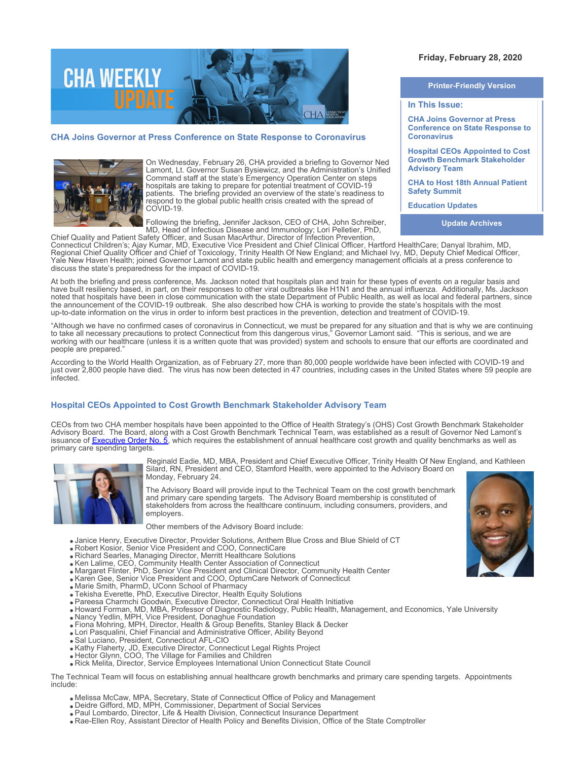

## **CHA Joins Governor at Press Conference on State Response to Coronavirus**



On Wednesday, February 26, CHA provided a briefing to Governor Ned Lamont, Lt. Governor Susan Bysiewicz, and the Administration's Unified Command staff at the state's Emergency Operation Center on steps hospitals are taking to prepare for potential treatment of COVID-19 patients. The briefing provided an overview of the state's readiness to respond to the global public health crisis created with the spread of COVID-19.

Following the briefing, Jennifer Jackson, CEO of CHA, John Schreiber, MD, Head of Infectious Disease and Immunology; Lori Pelletier, PhD,

# **Friday, February 28, 2020**

**Printer-Friendly Version**

## **In This Issue:**

**CHA Joins Governor at Press Conference on State Response to Coronavirus** 

**Hospital CEOs Appointed to Cost Growth Benchmark Stakeholder Advisory Team**

**CHA to Host 18th Annual Patient Safety Summit** 

**Education Updates**

**Update Archives**

Chief Quality and Patient Safety Officer, and Susan MacArthur, Director of Infection Prevention, Connecticut Children's; Ajay Kumar, MD, Executive Vice President and Chief Clinical Officer, Hartford HealthCare; Danyal Ibrahim, MD, Regional Chief Quality Officer and Chief of Toxicology, Trinity Health Of New England; and Michael Ivy, MD, Deputy Chief Medical Officer, Yale New Haven Health; joined Governor Lamont and state public health and emergency management officials at a press conference to discuss the state's preparedness for the impact of COVID-19.

At both the briefing and press conference, Ms. Jackson noted that hospitals plan and train for these types of events on a regular basis and have built resiliency based, in part, on their responses to other viral outbreaks like H1N1 and the annual influenza. Additionally, Ms. Jackson noted that hospitals have been in close communication with the state Department of Public Health, as well as local and federal partners, since the announcement of the COVID-19 outbreak. She also described how CHA is working to provide the state's hospitals with the most up-to-date information on the virus in order to inform best practices in the prevention, detection and treatment of COVID-19.

"Although we have no confirmed cases of coronavirus in Connecticut, we must be prepared for any situation and that is why we are continuing to take all necessary precautions to protect Connecticut from this dangerous virus," Governor Lamont said. "This is serious, and we are working with our healthcare (unless it is a written quote that was provided) system and schools to ensure that our efforts are coordinated and people are prepared."

According to the World Health Organization, as of February 27, more than 80,000 people worldwide have been infected with COVID-19 and just over 2,800 people have died. The virus has now been detected in 47 countries, including cases in the United States where 59 people are infected.

## **Hospital CEOs Appointed to Cost Growth Benchmark Stakeholder Advisory Team**

CEOs from two CHA member hospitals have been appointed to the Office of Health Strategy's (OHS) Cost Growth Benchmark Stakeholder Advisory Board. The Board, along with a Cost Growth Benchmark Technical Team, was established as a result of Governor Ned Lamont's issuance of [Executive Order No. 5](https://healthreform.us10.list-manage.com/track/click?u=3ae05c19d630308e6213859c6&id=c173069c23&e=8ce0180c25), which requires the establishment of annual healthcare cost growth and quality benchmarks as well as primary care spending targets.



Reginald Eadie, MD, MBA, President and Chief Executive Officer, Trinity Health Of New England, and Kathleen Silard, RN, President and CEO, Stamford Health, were appointed to the Advisory Board on Monday, February 24.

The Advisory Board will provide input to the Technical Team on the cost growth benchmark and primary care spending targets. The Advisory Board membership is constituted of stakeholders from across the healthcare continuum, including consumers, providers, and employers.

Other members of the Advisory Board include:

- Janice Henry, Executive Director, Provider Solutions, Anthem Blue Cross and Blue Shield of CT
- Robert Kosior, Senior Vice President and COO, ConnectiCare
- Richard Searles, Managing Director, Merritt Healthcare Solutions
- Ken Lalime, CEO, Community Health Center Association of Connecticut
- Margaret Flinter, PhD, Senior Vice President and Clinical Director, Community Health Center
- Karen Gee, Senior Vice President and COO, OptumCare Network of Connecticut
- Marie Smith, PharmD, UConn School of Pharmacy
- Tekisha Everette, PhD, Executive Director, Health Equity Solutions
- Pareesa Charmchi Goodwin, Executive Director, Connecticut Oral Health Initiative
- Howard Forman, MD, MBA, Professor of Diagnostic Radiology, Public Health, Management, and Economics, Yale University
- Nancy Yedlin, MPH, Vice President, Donaghue Foundation
- Fiona Mohring, MPH, Director, Health & Group Benefits, Stanley Black & Decker
- Lori Pasqualini, Chief Financial and Administrative Officer, Ability Beyond
- Sal Luciano, President, Connecticut AFL-CIO
- Kathy Flaherty, JD, Executive Director, Connecticut Legal Rights Project
- Hector Glynn, COO, The Village for Families and Children
- Rick Melita, Director, Service Employees International Union Connecticut State Council

The Technical Team will focus on establishing annual healthcare growth benchmarks and primary care spending targets. Appointments include:

- Melissa McCaw, MPA, Secretary, State of Connecticut Office of Policy and Management
- Deidre Gifford, MD, MPH, Commissioner, Department of Social Services
- Paul Lombardo, Director, Life & Health Division, Connecticut Insurance Department
- Rae-Ellen Roy, Assistant Director of Health Policy and Benefits Division, Office of the State Comptroller

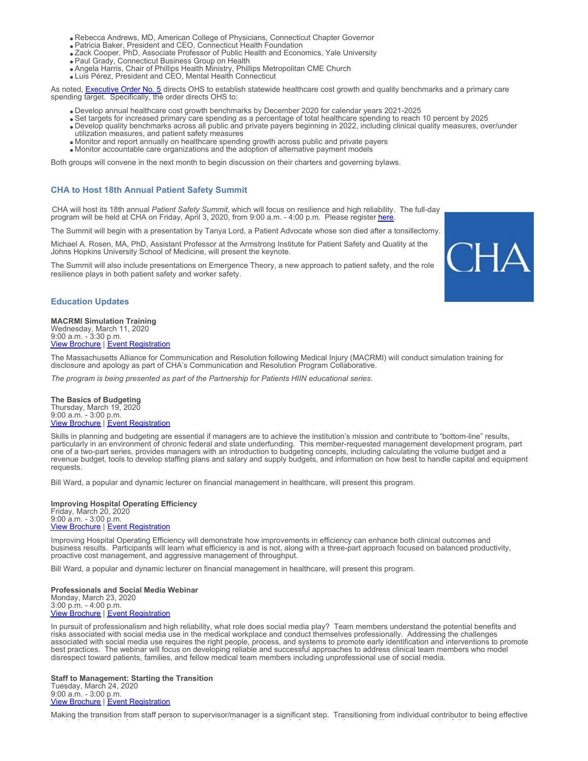- Rebecca Andrews, MD, American College of Physicians, Connecticut Chapter Governor
- Patricia Baker, President and CEO, Connecticut Health Foundation
- Zack Cooper, PhD, Associate Professor of Public Health and Economics, Yale University
- Paul Grady, Connecticut Business Group on Health
- Angela Harris, Chair of Phillips Health Ministry, Phillips Metropolitan CME Church
- Luis Pérez, President and CEO, Mental Health Connecticut

As noted, **Executive Order No. 5** directs OHS to establish statewide healthcare cost growth and quality benchmarks and a primary care spending target. Specifically, the order directs OHS to:

- Develop annual healthcare cost growth benchmarks by December 2020 for calendar years 2021-2025
- Set targets for increased primary care spending as a percentage of total healthcare spending to reach 10 percent by 2025
- Develop quality benchmarks across all public and private payers beginning in 2022, including clinical quality measures, over/under utilization measures, and patient safety measures
- Monitor and report annually on healthcare spending growth across public and private payers
- Monitor accountable care organizations and the adoption of alternative payment models

Both groups will convene in the next month to begin discussion on their charters and governing bylaws.

## **CHA to Host 18th Annual Patient Safety Summit**

CHA will host its 18th annual *Patient Safety Summit,* which will focus on resilience and high reliability. The full-day program will be held at CHA on Friday, April 3, 2020, from 9:00 a.m. - 4:00 p.m. Please register [here](https://cthosp.org/eventcalendar/index.cfm?action=register&date=43924&id=853).

The Summit will begin with a presentation by Tanya Lord, a Patient Advocate whose son died after a tonsillectomy.

Michael A. Rosen, MA, PhD, Assistant Professor at the Armstrong Institute for Patient Safety and Quality at the Johns Hopkins University School of Medicine, will present the keynote.

The Summit will also include presentations on Emergence Theory, a new approach to patient safety, and the role resilience plays in both patient safety and worker safety.



#### **Education Updates**

**MACRMI Simulation Training** Wednesday, March 11, 2020 9:00 a.m. - 3:30 p.m. **[View Brochure](https://cthosp.org/eventcalendar/uploads/HIIN%20MACRMI%20Brochure%20March2020.pdf) | [Event Registration](https://cthosp.org/eventcalendar/index.cfm?action=register&date=43901&id=850)** 

The Massachusetts Alliance for Communication and Resolution following Medical Injury (MACRMI) will conduct simulation training for disclosure and apology as part of CHA's Communication and Resolution Program Collaborative.

*The program is being presented as part of the Partnership for Patients HIIN educational series.*

**The Basics of Budgeting** Thursday, March 19, 2020 9:00 a.m. - 3:00 p.m. **[View Brochure](https://cthosp.org/eventcalendar/uploads/Budgeting%20p1_Brochure.pdf) | [Event Registration](https://cthosp.org/eventcalendar/index.cfm?action=register&date=43909&id=859)** 

Skills in planning and budgeting are essential if managers are to achieve the institution's mission and contribute to "bottom-line" results, particularly in an environment of chronic federal and state underfunding. This member-requested management development program, part one of a two-part series, provides managers with an introduction to budgeting concepts, including calculating the volume budget and a revenue budget, tools to develop staffing plans and salary and supply budgets, and information on how best to handle capital and equipment requests.

Bill Ward, a popular and dynamic lecturer on financial management in healthcare, will present this program.

**Improving Hospital Operating Efficiency** Friday, March 20, 2020 9:00 a.m. - 3:00 p.m. **[View Brochure](https://cthosp.org/eventcalendar/uploads/Imp%20Hosp%20Eff_Brochure.pdf) | [Event Registration](https://cthosp.org/eventcalendar/index.cfm?action=register&date=43910&id=860)** 

Improving Hospital Operating Efficiency will demonstrate how improvements in efficiency can enhance both clinical outcomes and business results. Participants will learn what efficiency is and is not, along with a three-part approach focused on balanced productivity, proactive cost management, and aggressive management of throughput.

Bill Ward, a popular and dynamic lecturer on financial management in healthcare, will present this program.

**Professionals and Social Media Webinar** Monday, March 23, 2020 3:00 p.m. - 4:00 p.m. **[View Brochure](https://cthosp.org/eventcalendar/uploads/Professionals%20and%20Social%20Media%20Webinar%20Brochure.pdf) | [Event Registration](https://cthosp.org/eventcalendar/index.cfm?action=register&date=43913&id=869)** 

In pursuit of professionalism and high reliability, what role does social media play? Team members understand the potential benefits and risks associated with social media use in the medical workplace and conduct themselves professionally. Addressing the challenges associated with social media use requires the right people, process, and systems to promote early identification and interventions to promote best practices. The webinar will focus on developing reliable and successful approaches to address clinical team members who model disrespect toward patients, families, and fellow medical team members including unprofessional use of social media.

**Staff to Management: Starting the Transition** Tuesday, March 24, 2020 9:00 a.m. - 3:00 p.m. **[View Brochure](https://cthosp.org/eventcalendar/uploads/Staff%20to%20Mgmt%201_Brochure.pdf) | [Event Registration](https://cthosp.org/eventcalendar/index.cfm?action=register&date=43914&id=861)** 

Making the transition from staff person to supervisor/manager is a significant step. Transitioning from individual contributor to being effective

in a leadership role is far more challenging and complicated than ever before and requires the ability to use the tools of diplomacy,